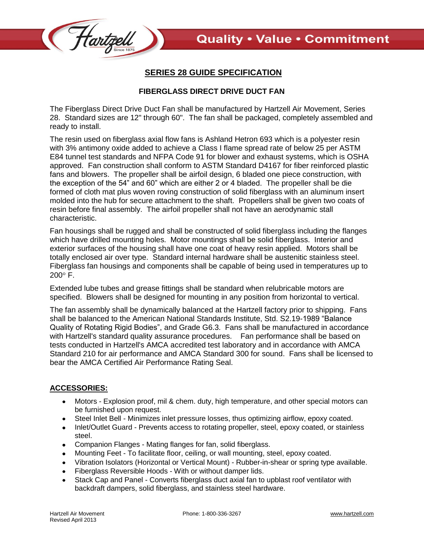

## **SERIES 28 GUIDE SPECIFICATION**

## **FIBERGLASS DIRECT DRIVE DUCT FAN**

The Fiberglass Direct Drive Duct Fan shall be manufactured by Hartzell Air Movement, Series 28. Standard sizes are 12" through 60". The fan shall be packaged, completely assembled and ready to install.

The resin used on fiberglass axial flow fans is Ashland Hetron 693 which is a polyester resin with 3% antimony oxide added to achieve a Class I flame spread rate of below 25 per ASTM E84 tunnel test standards and NFPA Code 91 for blower and exhaust systems, which is OSHA approved. Fan construction shall conform to ASTM Standard D4167 for fiber reinforced plastic fans and blowers. The propeller shall be airfoil design, 6 bladed one piece construction, with the exception of the 54" and 60" which are either 2 or 4 bladed. The propeller shall be die formed of cloth mat plus woven roving construction of solid fiberglass with an aluminum insert molded into the hub for secure attachment to the shaft. Propellers shall be given two coats of resin before final assembly. The airfoil propeller shall not have an aerodynamic stall characteristic.

Fan housings shall be rugged and shall be constructed of solid fiberglass including the flanges which have drilled mounting holes. Motor mountings shall be solid fiberglass. Interior and exterior surfaces of the housing shall have one coat of heavy resin applied. Motors shall be totally enclosed air over type. Standard internal hardware shall be austenitic stainless steel. Fiberglass fan housings and components shall be capable of being used in temperatures up to  $200^\circ$  F.

Extended lube tubes and grease fittings shall be standard when relubricable motors are specified. Blowers shall be designed for mounting in any position from horizontal to vertical.

The fan assembly shall be dynamically balanced at the Hartzell factory prior to shipping. Fans shall be balanced to the American National Standards Institute, Std. S2.19-1989 "Balance Quality of Rotating Rigid Bodies", and Grade G6.3. Fans shall be manufactured in accordance with Hartzell's standard quality assurance procedures. Fan performance shall be based on tests conducted in Hartzell's AMCA accredited test laboratory and in accordance with AMCA Standard 210 for air performance and AMCA Standard 300 for sound. Fans shall be licensed to bear the AMCA Certified Air Performance Rating Seal.

## **ACCESSORIES:**

- $\bullet$ Motors - Explosion proof, mil & chem. duty, high temperature, and other special motors can be furnished upon request.
- Steel Inlet Bell Minimizes inlet pressure losses, thus optimizing airflow, epoxy coated.  $\bullet$
- Inlet/Outlet Guard Prevents access to rotating propeller, steel, epoxy coated, or stainless steel.
- Companion Flanges Mating flanges for fan, solid fiberglass.
- Mounting Feet To facilitate floor, ceiling, or wall mounting, steel, epoxy coated.
- Vibration Isolators (Horizontal or Vertical Mount) Rubber-in-shear or spring type available.  $\bullet$
- Fiberglass Reversible Hoods With or without damper lids.
- Stack Cap and Panel Converts fiberglass duct axial fan to upblast roof ventilator with backdraft dampers, solid fiberglass, and stainless steel hardware.